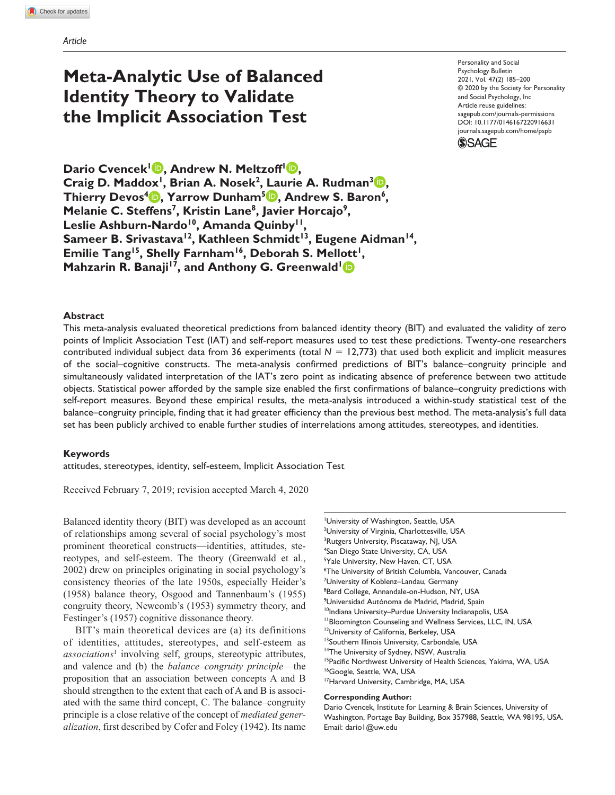## **Meta-Analytic Use of Balanced Identity Theory to Validate the Implicit Association Test**

https://doi.org/10.1177/0146167220916631 DOI: 10.1177/0146167220916631 Personality and Social Psychology Bulletin 2021, Vol. 47(2) 185–200 © 2020 by the Society for Personality and Social Psychology, Inc Article reuse guidelines: [sagepub.com/journals-permissions](https://us.sagepub.com/en-us/journals-permissions) [journals.sagepub.com/home/pspb](http://journals.sagepub.com/home/pspb)

**SSAGE** 

**Dario Cvencek<sup>1</sup> <b>D**, Andrew N. Meltzoff<sup>1</sup> **D**, **Craig D. Maddox<sup>1</sup>, Brian A. Nosek<sup>2</sup>, Laurie A. Rudman<sup>3</sup><sup>1</sup>, Thierry Devos4 , Yarrow Dunham5 , Andrew S. Baron6,**  Melanie C. Steffens<sup>7</sup>, Kristin Lane<sup>8</sup>, Javier Horcajo<sup>9</sup>, Leslie Ashburn-Nardo<sup>10</sup>, Amanda Quinby<sup>11</sup>, Sameer B. Srivastava<sup>12</sup>, Kathleen Schmidt<sup>13</sup>, Eugene Aidman<sup>14</sup>, Emilie Tang<sup>15</sup>, Shelly Farnham<sup>16</sup>, Deborah S. Mellott<sup>1</sup>, **Mahzarin R. Banaji<sup>17</sup>, and Anthony G. Greenwald<sup>1</sup>** 

#### **Abstract**

This meta-analysis evaluated theoretical predictions from balanced identity theory (BIT) and evaluated the validity of zero points of Implicit Association Test (IAT) and self-report measures used to test these predictions. Twenty-one researchers contributed individual subject data from 36 experiments (total *N* = 12,773) that used both explicit and implicit measures of the social–cognitive constructs. The meta-analysis confirmed predictions of BIT's balance–congruity principle and simultaneously validated interpretation of the IAT's zero point as indicating absence of preference between two attitude objects. Statistical power afforded by the sample size enabled the first confirmations of balance–congruity predictions with self-report measures. Beyond these empirical results, the meta-analysis introduced a within-study statistical test of the balance–congruity principle, finding that it had greater efficiency than the previous best method. The meta-analysis's full data set has been publicly archived to enable further studies of interrelations among attitudes, stereotypes, and identities.

#### **Keywords**

attitudes, stereotypes, identity, self-esteem, Implicit Association Test

Received February 7, 2019; revision accepted March 4, 2020

Balanced identity theory (BIT) was developed as an account of relationships among several of social psychology's most prominent theoretical constructs—identities, attitudes, stereotypes, and self-esteem. The theory (Greenwald et al., 2002) drew on principles originating in social psychology's consistency theories of the late 1950s, especially Heider's (1958) balance theory, Osgood and Tannenbaum's (1955) congruity theory, Newcomb's (1953) symmetry theory, and Festinger's (1957) cognitive dissonance theory.

BIT's main theoretical devices are (a) its definitions of identities, attitudes, stereotypes, and self-esteem as *associations*<sup>1</sup> involving self, groups, stereotypic attributes, and valence and (b) the *balance–congruity principle*—the proposition that an association between concepts A and B should strengthen to the extent that each of A and B is associated with the same third concept, C. The balance–congruity principle is a close relative of the concept of *mediated generalization*, first described by Cofer and Foley (1942). Its name

1 University of Washington, Seattle, USA <sup>2</sup>University of Virginia, Charlottesville, USA <sup>3</sup>Rutgers University, Piscataway, NJ, USA 4 San Diego State University, CA, USA <sup>5</sup>Yale University, New Haven, CT, USA 6 The University of British Columbia, Vancouver, Canada <sup>7</sup>University of Koblenz–Landau, Germany <sup>8</sup>Bard College, Annandale-on-Hudson, NY, USA 9 Universidad Autónoma de Madrid, Madrid, Spain <sup>10</sup>Indiana University-Purdue University Indianapolis, USA <sup>11</sup> Bloomington Counseling and Wellness Services, LLC, IN, USA <sup>12</sup>University of California, Berkeley, USA 13Southern Illinois University, Carbondale, USA <sup>14</sup>The University of Sydney, NSW, Australia <sup>15</sup>Pacific Northwest University of Health Sciences, Yakima, WA, USA <sup>16</sup>Google, Seattle, WA, USA <sup>17</sup>Harvard University, Cambridge, MA, USA

#### **Corresponding Author:**

Dario Cvencek, Institute for Learning & Brain Sciences, University of Washington, Portage Bay Building, Box 357988, Seattle, WA 98195, USA. Email: [dario1@uw.edu](mailto:dario1@uw.edu)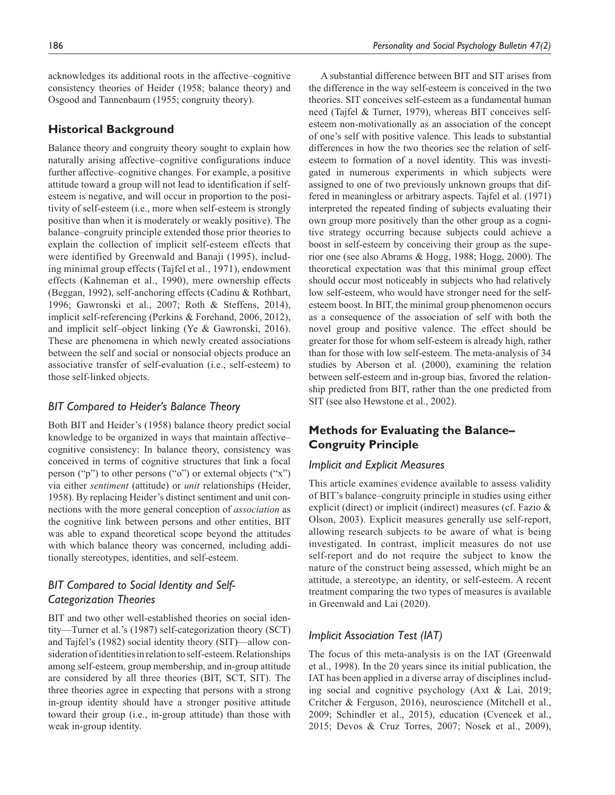acknowledges its additional roots in the affective–cognitive consistency theories of Heider (1958; balance theory) and Osgood and Tannenbaum (1955; congruity theory).

#### **Historical Background**

Balance theory and congruity theory sought to explain how naturally arising affective–cognitive configurations induce further affective–cognitive changes. For example, a positive attitude toward a group will not lead to identification if selfesteem is negative, and will occur in proportion to the positivity of self-esteem (i.e., more when self-esteem is strongly positive than when it is moderately or weakly positive). The balance–congruity principle extended those prior theories to explain the collection of implicit self-esteem effects that were identified by Greenwald and Banaji (1995), including minimal group effects (Tajfel et al., 1971), endowment effects (Kahneman et al., 1990), mere ownership effects (Beggan, 1992), self-anchoring effects (Cadinu & Rothbart, 1996; Gawronski et al., 2007; Roth & Steffens, 2014), implicit self-referencing (Perkins & Forehand, 2006, 2012), and implicit self–object linking (Ye & Gawronski, 2016). These are phenomena in which newly created associations between the self and social or nonsocial objects produce an associative transfer of self-evaluation (i.e., self-esteem) to those self-linked objects.

#### *BIT Compared to Heider's Balance Theory*

Both BIT and Heider's (1958) balance theory predict social knowledge to be organized in ways that maintain affective– cognitive consistency: In balance theory, consistency was conceived in terms of cognitive structures that link a focal person ("p") to other persons ("o") or external objects ("x") via either *sentiment* (attitude) or *unit* relationships (Heider, 1958). By replacing Heider's distinct sentiment and unit connections with the more general conception of *association* as the cognitive link between persons and other entities, BIT was able to expand theoretical scope beyond the attitudes with which balance theory was concerned, including additionally stereotypes, identities, and self-esteem.

## *BIT Compared to Social Identity and Self-Categorization Theories*

BIT and two other well-established theories on social identity—Turner et al.'s (1987) self-categorization theory (SCT) and Tajfel's (1982) social identity theory (SIT)—allow consideration of identities in relation to self-esteem. Relationships among self-esteem, group membership, and in-group attitude are considered by all three theories (BIT, SCT, SIT). The three theories agree in expecting that persons with a strong in-group identity should have a stronger positive attitude toward their group (i.e., in-group attitude) than those with weak in-group identity.

A substantial difference between BIT and SIT arises from the difference in the way self-esteem is conceived in the two theories. SIT conceives self-esteem as a fundamental human need (Tajfel & Turner, 1979), whereas BIT conceives selfesteem non-motivationally as an association of the concept of one's self with positive valence. This leads to substantial differences in how the two theories see the relation of selfesteem to formation of a novel identity. This was investigated in numerous experiments in which subjects were assigned to one of two previously unknown groups that differed in meaningless or arbitrary aspects. Tajfel et al. (1971) interpreted the repeated finding of subjects evaluating their own group more positively than the other group as a cognitive strategy occurring because subjects could achieve a boost in self-esteem by conceiving their group as the superior one (see also Abrams & Hogg, 1988; Hogg, 2000). The theoretical expectation was that this minimal group effect should occur most noticeably in subjects who had relatively low self-esteem, who would have stronger need for the selfesteem boost. In BIT, the minimal group phenomenon occurs as a consequence of the association of self with both the novel group and positive valence. The effect should be greater for those for whom self-esteem is already high, rather than for those with low self-esteem. The meta-analysis of 34 studies by Aberson et al. (2000), examining the relation between self-esteem and in-group bias, favored the relationship predicted from BIT, rather than the one predicted from SIT (see also Hewstone et al., 2002).

## **Methods for Evaluating the Balance– Congruity Principle**

#### *Implicit and Explicit Measures*

This article examines evidence available to assess validity of BIT's balance–congruity principle in studies using either explicit (direct) or implicit (indirect) measures (cf. Fazio & Olson, 2003). Explicit measures generally use self-report, allowing research subjects to be aware of what is being investigated. In contrast, implicit measures do not use self-report and do not require the subject to know the nature of the construct being assessed, which might be an attitude, a stereotype, an identity, or self-esteem. A recent treatment comparing the two types of measures is available in Greenwald and Lai (2020).

#### *Implicit Association Test (IAT)*

The focus of this meta-analysis is on the IAT (Greenwald et al., 1998). In the 20 years since its initial publication, the IAT has been applied in a diverse array of disciplines including social and cognitive psychology (Axt & Lai, 2019; Critcher & Ferguson, 2016), neuroscience (Mitchell et al., 2009; Schindler et al., 2015), education (Cvencek et al., 2015; Devos & Cruz Torres, 2007; Nosek et al., 2009),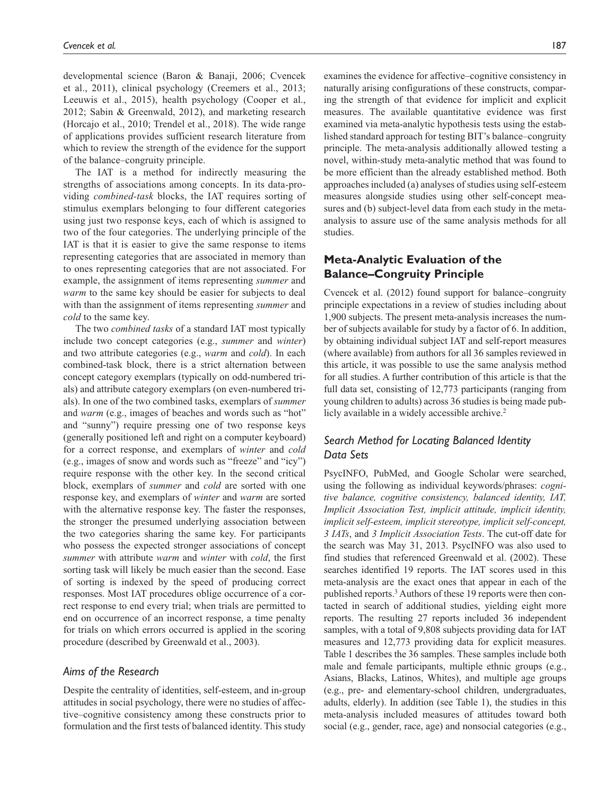developmental science (Baron & Banaji, 2006; Cvencek et al., 2011), clinical psychology (Creemers et al., 2013; Leeuwis et al., 2015), health psychology (Cooper et al., 2012; Sabin & Greenwald, 2012), and marketing research (Horcajo et al., 2010; Trendel et al., 2018). The wide range of applications provides sufficient research literature from which to review the strength of the evidence for the support of the balance–congruity principle.

The IAT is a method for indirectly measuring the strengths of associations among concepts. In its data-providing *combined-task* blocks, the IAT requires sorting of stimulus exemplars belonging to four different categories using just two response keys, each of which is assigned to two of the four categories. The underlying principle of the IAT is that it is easier to give the same response to items representing categories that are associated in memory than to ones representing categories that are not associated. For example, the assignment of items representing *summer* and *warm* to the same key should be easier for subjects to deal with than the assignment of items representing *summer* and *cold* to the same key.

The two *combined tasks* of a standard IAT most typically include two concept categories (e.g., *summer* and *winter*) and two attribute categories (e.g., *warm* and *cold*). In each combined-task block, there is a strict alternation between concept category exemplars (typically on odd-numbered trials) and attribute category exemplars (on even-numbered trials). In one of the two combined tasks, exemplars of *summer* and *warm* (e.g., images of beaches and words such as "hot" and "sunny") require pressing one of two response keys (generally positioned left and right on a computer keyboard) for a correct response, and exemplars of *winter* and *cold* (e.g., images of snow and words such as "freeze" and "icy") require response with the other key. In the second critical block, exemplars of *summer* and *cold* are sorted with one response key, and exemplars of *winter* and *warm* are sorted with the alternative response key. The faster the responses, the stronger the presumed underlying association between the two categories sharing the same key. For participants who possess the expected stronger associations of concept *summer* with attribute *warm* and *winter* with *cold*, the first sorting task will likely be much easier than the second. Ease of sorting is indexed by the speed of producing correct responses. Most IAT procedures oblige occurrence of a correct response to end every trial; when trials are permitted to end on occurrence of an incorrect response, a time penalty for trials on which errors occurred is applied in the scoring procedure (described by Greenwald et al., 2003).

#### *Aims of the Research*

Despite the centrality of identities, self-esteem, and in-group attitudes in social psychology, there were no studies of affective–cognitive consistency among these constructs prior to formulation and the first tests of balanced identity. This study examines the evidence for affective–cognitive consistency in naturally arising configurations of these constructs, comparing the strength of that evidence for implicit and explicit measures. The available quantitative evidence was first examined via meta-analytic hypothesis tests using the established standard approach for testing BIT's balance–congruity principle. The meta-analysis additionally allowed testing a novel, within-study meta-analytic method that was found to be more efficient than the already established method. Both approaches included (a) analyses of studies using self-esteem measures alongside studies using other self-concept measures and (b) subject-level data from each study in the metaanalysis to assure use of the same analysis methods for all studies.

## **Meta-Analytic Evaluation of the Balance–Congruity Principle**

Cvencek et al. (2012) found support for balance–congruity principle expectations in a review of studies including about 1,900 subjects. The present meta-analysis increases the number of subjects available for study by a factor of 6. In addition, by obtaining individual subject IAT and self-report measures (where available) from authors for all 36 samples reviewed in this article, it was possible to use the same analysis method for all studies. A further contribution of this article is that the full data set, consisting of 12,773 participants (ranging from young children to adults) across 36 studies is being made publicly available in a widely accessible archive.<sup>2</sup>

## *Search Method for Locating Balanced Identity Data Sets*

PsycINFO, PubMed, and Google Scholar were searched, using the following as individual keywords/phrases: *cognitive balance, cognitive consistency, balanced identity, IAT, Implicit Association Test, implicit attitude, implicit identity, implicit self-esteem, implicit stereotype, implicit self-concept, 3 IATs*, and *3 Implicit Association Tests*. The cut-off date for the search was May 31, 2013. PsycINFO was also used to find studies that referenced Greenwald et al. (2002). These searches identified 19 reports. The IAT scores used in this meta-analysis are the exact ones that appear in each of the published reports.<sup>3</sup> Authors of these 19 reports were then contacted in search of additional studies, yielding eight more reports. The resulting 27 reports included 36 independent samples, with a total of 9,808 subjects providing data for IAT measures and 12,773 providing data for explicit measures. Table 1 describes the 36 samples. These samples include both male and female participants, multiple ethnic groups (e.g., Asians, Blacks, Latinos, Whites), and multiple age groups (e.g., pre- and elementary-school children, undergraduates, adults, elderly). In addition (see Table 1), the studies in this meta-analysis included measures of attitudes toward both social (e.g., gender, race, age) and nonsocial categories (e.g.,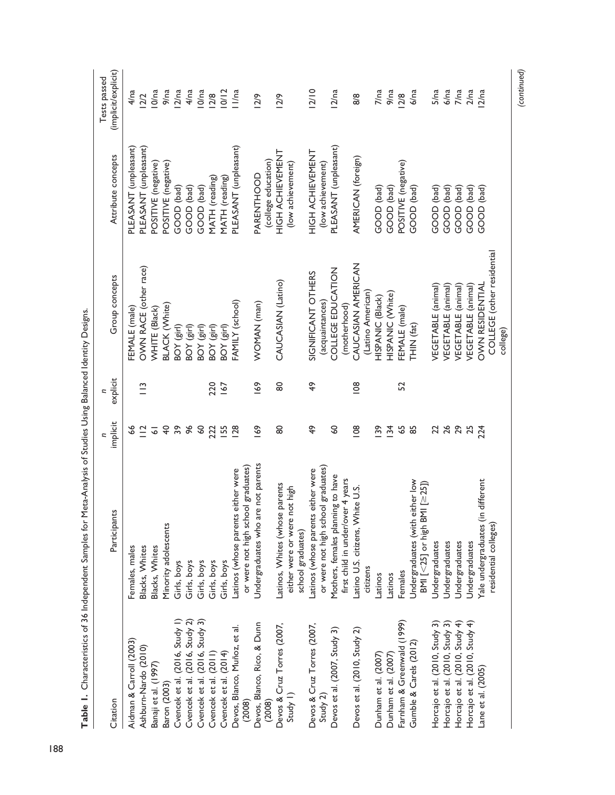|                                                                                           |                                                                        |                      | Ξ           |                            |                                   | Tests passed        |
|-------------------------------------------------------------------------------------------|------------------------------------------------------------------------|----------------------|-------------|----------------------------|-----------------------------------|---------------------|
| Citation                                                                                  | Participants                                                           | implicit             | explicit    | Group concepts             | Attribute concepts                | (implicit/explicit) |
| Aidman & Carroll (2003)                                                                   | Females, males                                                         | \$                   |             | <b>EMALE</b> (male)        | PLEASANT (unpleasant)             | 4/na                |
| Ashburn-Nardo (2010)                                                                      | Blacks, Whites                                                         | $\frac{1}{2}$        | $\tilde{=}$ | OWN RACE (other race)      | PLEASANT (unpleasant)             | 2/2                 |
| Banaji et al. (1997)                                                                      | Blacks, Whites                                                         | $\overline{\bullet}$ |             | WHITE (Black)              | POSITIVE (negative)               | l O/na              |
| Baron (2003)                                                                              | Minority adolescents                                                   | $\overline{4}$       |             | <b>BLACK (White)</b>       | POSITIVE (negative)               | 9/na                |
| Cvencek et al. (2016, Study 1)                                                            | Girls, boys                                                            | $39$                 |             | BOY (girl)                 | GOOD (bad)                        | 12/na               |
|                                                                                           | Girls, boys                                                            | 96                   |             | BOY (girl)                 | GOOD (bad)                        | 4/na                |
|                                                                                           | Girls, boys                                                            | $\mathcal{S}$        |             | BOY (girl)                 | GOOD (bad)                        | l O/na              |
| Cvencek et al. (2016, Study 2)<br>Cvencek et al. (2016, Study 3)<br>Cvencek et al. (2011) | Girls, boys                                                            | 222                  | 220         | BOY (girl)                 | MATH (reading)                    | 2/8                 |
| Cvencek et al. (2014)                                                                     | Girls, boys                                                            | <b>IS5</b>           | 167         | BOY (girl)                 | MATH (reading)                    | 10/12               |
| Devos, Blanco, Muñoz, et al.<br>(2008)                                                    | Latinos (whose parents either were                                     | <b>28</b>            |             | FAMILY (school)            | PLEASANT (unpleasant)             | 11/na               |
|                                                                                           | or were not high school graduates)                                     |                      |             |                            |                                   |                     |
| Devos, Blanco, Rico, & Dunn<br>(2008)                                                     | Undergraduates who are not parents                                     | 169                  | 169         | WOMAN (man)                | (college education)<br>PARENTHOOD | 12/9                |
| Devos & Cruz Torres (2007,                                                                | Latinos, Whites (whose parents                                         | 8                    | 80          | CAUCASIAN (Latino)         | HIGH ACHIEVENT                    | 12/9                |
| Study 1)                                                                                  | either were or were not high<br>school graduates)                      |                      |             |                            | (low achievement)                 |                     |
| Devos & Cruz Torres (2007,                                                                | Latinos (whose parents either were                                     | $\frac{6}{7}$        | 49          | SIGNIFICANT OTHERS         | HIGH ACHIEVENT                    | 2/10                |
| Study 2)                                                                                  | or were not high school graduates)                                     |                      |             | (acquaintances)            | (low achievement)                 |                     |
| Devos et al. (2007, Study 3)                                                              |                                                                        | SO                   |             | COLLEGE EDUCATION          |                                   |                     |
|                                                                                           | Mothers, females planning to have<br>first child in under/over 4 years |                      |             | (motherhood)               | PLEASANT (unpleasant)             | 12/na               |
| Devos et al. (2010, Study 2)                                                              | Latino U.S. citizens, White U.S.                                       | 108                  | 108         | CAUCASIAN AMERICAN         | AMERICAN (foreign)                | 8/8                 |
|                                                                                           | citizens                                                               |                      |             | (Latino American)          |                                   |                     |
| Dunham et al. (2007)                                                                      | Latinos                                                                | $\overline{39}$      |             | HISPANIC (Black)           | GOOD (bad)                        | 7/na                |
| Dunham et al. (2007)                                                                      | Latinos                                                                | $\overline{34}$      |             | HISPANIC (White)           | GOOD (bad)                        | 9/na                |
| Farnham & Greenwald (1999)                                                                | Females                                                                | 59                   | 52          | FEMALE (male)              | POSITIVE (negative)               | 12/8                |
| Gumble & Carels (2012)                                                                    | Undergraduates (with either low<br>BMI [<25] or high BMI [≥25])        | 85                   |             | THIN (fat)                 | GOOD (bad)                        | 6/na                |
| Horcajo et al. (2010, Study 3)                                                            | Undergraduates                                                         | 22                   |             | VEGETABLE (animal)         | GOOD (bad)                        | 5/na                |
| Horcajo et al. (2010, Study 3)                                                            | Undergraduates                                                         | 26                   |             | VEGETABLE (animal)         | GOOD (bad)                        | 6/na                |
| Horcajo et al. (2010, Study 4)                                                            | Undergraduates                                                         | 29                   |             | VEGETABLE (animal)         | GOOD (bad)                        | 7/na                |
| Horcajo et al. (2010, Study 4)                                                            | Undergraduates                                                         | 25                   |             | VEGETABLE (animal)         | GOOD (bad)                        | 2/na                |
| Lane et al. (2005)                                                                        | in different<br>Yale undergraduates (                                  | 224                  |             | <b>OWN RESIDENTIAL</b>     | GOOD (bad)                        | 12/na               |
|                                                                                           | residential colleges)                                                  |                      |             | COLLEGE (other residential |                                   |                     |
|                                                                                           |                                                                        |                      |             | college)                   |                                   |                     |

*(continued)*

Table 1. Characteristics of 36 Independent Samples for Meta-Analysis of Studies Using Balanced Identity Designs. **Table 1.** Characteristics of 36 Independent Samples for Meta-Analysis of Studies Using Balanced Identity Designs.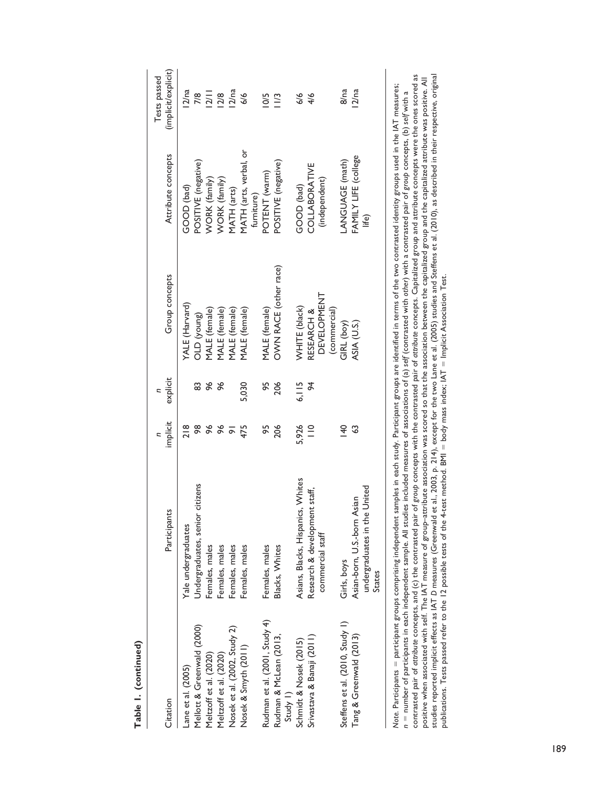| Citation                           | Participants                           | implicit           | explicit       | Group concepts                     | Attribute concepts     | (implicit/explicit)<br>Tests passed |
|------------------------------------|----------------------------------------|--------------------|----------------|------------------------------------|------------------------|-------------------------------------|
| Lane et al. (2005)                 | Yale undergraduates                    | 218                |                | YALE (Harvard)                     | GOOD (bad)             | 12/na                               |
| Mellott & Greenwald (2000)         | Undergraduates, senior citizens        | 98                 | œ              | OLD (young)                        | POSITIVE (negative)    | 7/8                                 |
| Meltzoff et al. (2020)             | Females, males                         | 96                 | १६             | MALE (female)                      | <b>NORK</b> (family)   | 2/11                                |
| Meltzoff et al. (2020)             | Females, males                         | $\frac{8}{3}$      | $\frac{8}{3}$  | MALE (female)                      | <b>WORK</b> (family)   | 12/8                                |
| Nosek et al. (2002, Study 2)       | Females, males                         | $\overline{\circ}$ |                | MALE (female)                      | MATH (arts)            | 12/na                               |
| Nosek & Smyth (2011)               | Females, males                         | 475                | 5,030          | MALE (female)                      | MATH (arts, verbal, or | 6/6                                 |
|                                    |                                        |                    |                |                                    | furniture)             |                                     |
| Rudman et al. (2001, Study 4)      | Females, males                         | 95                 | 95             | MALE (female)                      | POTENT (warm)          | SQ                                  |
| Rudman & McLean (2013,<br>Study 1) | Blacks, Whites                         | 206                | 206            | OWN RACE (other race)              | POSITIVE (negative)    | $\tilde{=}$                         |
| Schmidt & Nosek (2015)             | Asians, Blacks, Hispanics, Whites      | 5,926              | 6,115          | WHITE (black)                      | GOOD (bad)             | 6/6                                 |
| Srivastava & Banaji (2011)         | Research & development staff,          | $\frac{1}{1}$      | $\overline{6}$ | RESEARCH &                         | COLLABORATIVE          | 4/6                                 |
|                                    | commercial staff                       |                    |                | <b>DEVELOPMENT</b><br>(commercial) | (independent)          |                                     |
| Steffens et al. (2010, Study 1)    | Girls, boys                            | $\frac{40}{5}$     |                | GIRL (boy)                         | ANGUAGE (math)         | 8/na                                |
| Tang & Greenwald (2013)            | Asian-born, U.S.-born Asian            | S                  |                | ASIA (U.S.)                        | FAMILY LIFE (college   | 12/na                               |
|                                    | undergraduates in the United<br>States |                    |                |                                    | life)                  |                                     |
|                                    |                                        |                    |                |                                    |                        |                                     |

contrasted pair of attribute concepts, and (c) the contrasted pair of group concepts with the contrasted pair of attribute concepts. Capitalized group and attribute concepts were the ones scored as positive when associated with self. The IAT measure of group–attribute association was scored so that the association between the capitalized group and the capitalized attribute was positive. All<br>studies reported implicit studies reported implicit effects as IAT *D* measures (Greenwald et al., 2003, p. 214), except for the two Lane et al. (2005) studies and Steffens et al. (2010), as described in their respective, original contrasted pair of *attribute* concepts, and (c) the contrasted pair of *group* concepts with the contrasted pair of *attribute* concepts. Capitalized group and attribute concepts were the ones scored as positive when associated with self. The IAT measure of group–attribute association was scored so that the capitalized group and the capitalized attribute was positive. All Note. Participants = participant groups comprising independent samples in each study. Participant groups are identified in terms of the two contrasted identity groups used in the IAT measures; *Note*. Participants = participant groups comprising independent samples in each study. Participant groups are identified in terms of the two contrasted identity groups used in the IAT measures; *n* = number of participants in each independent sample. All studies included measures of associations of (a) self (contrasted with o*ther*) with a contrasted pair of group concepts, (b) self with a = number of participants in each independent sample. All studies included measures of associations of (a) *self* (contrasted with *other*) with a contrasted pair of *group* concepts, (b) *self* with a publications. Tests passed refer to the 12 possible tests of the 4-test method. BMI = body mass index; IAT = Implicit Association Test.

# Table I. (continued) **Table 1. (continued)**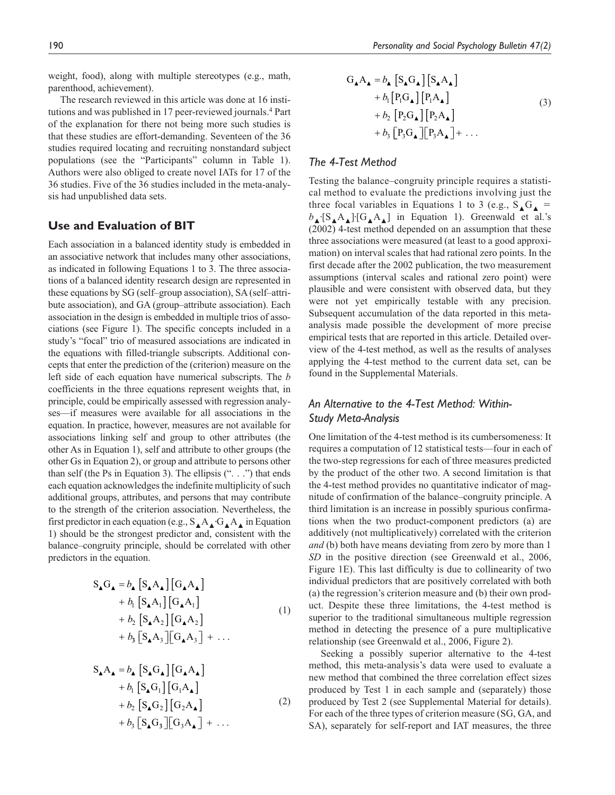weight, food), along with multiple stereotypes (e.g., math, parenthood, achievement).

The research reviewed in this article was done at 16 institutions and was published in 17 peer-reviewed journals.<sup>4</sup> Part of the explanation for there not being more such studies is that these studies are effort-demanding. Seventeen of the 36 studies required locating and recruiting nonstandard subject populations (see the "Participants" column in Table 1). Authors were also obliged to create novel IATs for 17 of the 36 studies. Five of the 36 studies included in the meta-analysis had unpublished data sets.

## **Use and Evaluation of BIT**

Each association in a balanced identity study is embedded in an associative network that includes many other associations, as indicated in following Equations 1 to 3. The three associations of a balanced identity research design are represented in these equations by SG (self–group association), SA (self–attribute association), and GA (group–attribute association). Each association in the design is embedded in multiple trios of associations (see Figure 1). The specific concepts included in a study's "focal" trio of measured associations are indicated in the equations with filled-triangle subscripts. Additional concepts that enter the prediction of the (criterion) measure on the left side of each equation have numerical subscripts. The *b* coefficients in the three equations represent weights that, in principle, could be empirically assessed with regression analyses—if measures were available for all associations in the equation. In practice, however, measures are not available for associations linking self and group to other attributes (the other As in Equation 1), self and attribute to other groups (the other Gs in Equation 2), or group and attribute to persons other than self (the Ps in Equation 3). The ellipsis (". . .") that ends each equation acknowledges the indefinite multiplicity of such additional groups, attributes, and persons that may contribute to the strength of the criterion association. Nevertheless, the first predictor in each equation (e.g.,  $S_{\blacktriangle} A_{\blacktriangle} G_{\blacktriangle} A_{\blacktriangle}$  in Equation 1) should be the strongest predictor and, consistent with the balance–congruity principle, should be correlated with other predictors in the equation.

$$
S_{\mathbf{\Lambda}}G_{\mathbf{\Lambda}} = b_{\mathbf{\Lambda}} [S_{\mathbf{\Lambda}}A_{\mathbf{\Lambda}}] [G_{\mathbf{\Lambda}}A_{\mathbf{\Lambda}}]
$$
  
+  $b_1 [S_{\mathbf{\Lambda}}A_1] [G_{\mathbf{\Lambda}}A_1]$   
+  $b_2 [S_{\mathbf{\Lambda}}A_2] [G_{\mathbf{\Lambda}}A_2]$   
+  $b_3 [S_{\mathbf{\Lambda}}A_3] [G_{\mathbf{\Lambda}}A_3] + \dots$  (1)

$$
S_{\mathbf{\Lambda}} A_{\mathbf{\Lambda}} = b_{\mathbf{\Lambda}} [S_{\mathbf{\Lambda}} G_{\mathbf{\Lambda}}] [G_{\mathbf{\Lambda}} A_{\mathbf{\Lambda}}]
$$
  
+  $b_{1} [S_{\mathbf{\Lambda}} G_{1}] [G_{1} A_{\mathbf{\Lambda}}]$   
+  $b_{2} [S_{\mathbf{\Lambda}} G_{2}] [G_{2} A_{\mathbf{\Lambda}}]$   
+  $b_{3} [S_{\mathbf{\Lambda}} G_{3}] [G_{3} A_{\mathbf{\Lambda}}] + ...$  (2)

$$
G_{\mathbf{\Lambda}} A_{\mathbf{\Lambda}} = b_{\mathbf{\Lambda}} \left[ S_{\mathbf{\Lambda}} G_{\mathbf{\Lambda}} \right] \left[ S_{\mathbf{\Lambda}} A_{\mathbf{\Lambda}} \right] + b_{1} \left[ P_{1} G_{\mathbf{\Lambda}} \right] \left[ P_{1} A_{\mathbf{\Lambda}} \right] + b_{2} \left[ P_{2} G_{\mathbf{\Lambda}} \right] \left[ P_{2} A_{\mathbf{\Lambda}} \right] + b_{3} \left[ P_{3} G_{\mathbf{\Lambda}} \right] \left[ P_{3} A_{\mathbf{\Lambda}} \right] + \dots
$$
\n(3)

#### *The 4-Test Method*

Testing the balance–congruity principle requires a statistical method to evaluate the predictions involving just the three focal variables in Equations 1 to 3 (e.g.,  $S \cdot G =$ *b*▲∙[S▲A▲]∙[G▲A▲] in Equation 1). Greenwald et al.'s (2002) 4-test method depended on an assumption that these three associations were measured (at least to a good approximation) on interval scales that had rational zero points. In the first decade after the 2002 publication, the two measurement assumptions (interval scales and rational zero point) were plausible and were consistent with observed data, but they were not yet empirically testable with any precision. Subsequent accumulation of the data reported in this metaanalysis made possible the development of more precise empirical tests that are reported in this article. Detailed overview of the 4-test method, as well as the results of analyses applying the 4-test method to the current data set, can be found in the Supplemental Materials.

## *An Alternative to the 4-Test Method: Within-Study Meta-Analysis*

One limitation of the 4-test method is its cumbersomeness: It requires a computation of 12 statistical tests—four in each of the two-step regressions for each of three measures predicted by the product of the other two. A second limitation is that the 4-test method provides no quantitative indicator of magnitude of confirmation of the balance–congruity principle. A third limitation is an increase in possibly spurious confirmations when the two product-component predictors (a) are additively (not multiplicatively) correlated with the criterion *and* (b) both have means deviating from zero by more than 1 *SD* in the positive direction (see Greenwald et al., 2006, Figure 1E). This last difficulty is due to collinearity of two individual predictors that are positively correlated with both (a) the regression's criterion measure and (b) their own product. Despite these three limitations, the 4-test method is superior to the traditional simultaneous multiple regression method in detecting the presence of a pure multiplicative relationship (see Greenwald et al., 2006, Figure 2).

Seeking a possibly superior alternative to the 4-test method, this meta-analysis's data were used to evaluate a new method that combined the three correlation effect sizes produced by Test 1 in each sample and (separately) those produced by Test 2 (see Supplemental Material for details). For each of the three types of criterion measure (SG, GA, and SA), separately for self-report and IAT measures, the three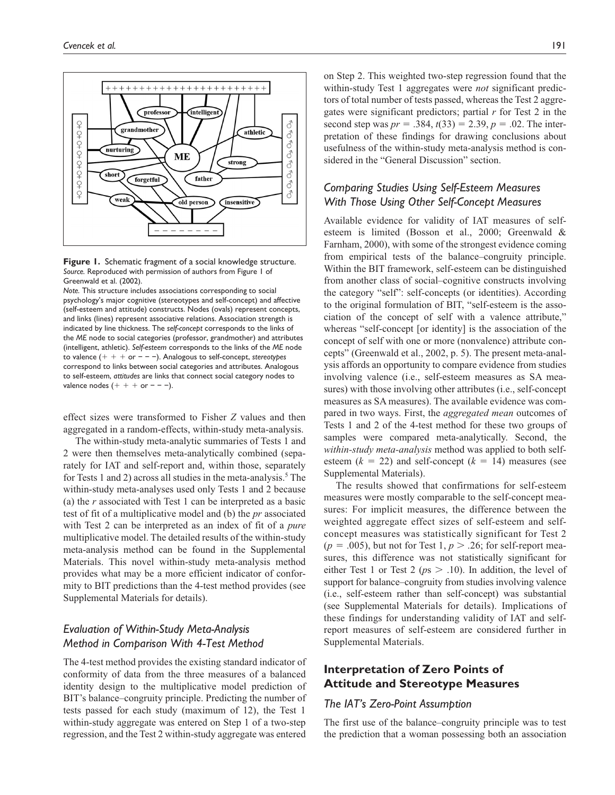



*Note.* This structure includes associations corresponding to social psychology's major cognitive (stereotypes and self-concept) and affective (self-esteem and attitude) constructs. Nodes (ovals) represent concepts, and links (lines) represent associative relations. Association strength is indicated by line thickness. The *self-concept* corresponds to the links of the *ME* node to social categories (professor, grandmother) and attributes (intelligent, athletic). *Self-esteem* corresponds to the links of the *ME* node to valence (+ + + or − − −). Analogous to self-concept, *stereotypes* correspond to links between social categories and attributes. Analogous to self-esteem, *attitudes* are links that connect social category nodes to valence nodes  $(+ + + or - -).$ 

effect sizes were transformed to Fisher *Z* values and then aggregated in a random-effects, within-study meta-analysis.

The within-study meta-analytic summaries of Tests 1 and 2 were then themselves meta-analytically combined (separately for IAT and self-report and, within those, separately for Tests 1 and 2) across all studies in the meta-analysis.<sup>5</sup> The within-study meta-analyses used only Tests 1 and 2 because (a) the *r* associated with Test 1 can be interpreted as a basic test of fit of a multiplicative model and (b) the *pr* associated with Test 2 can be interpreted as an index of fit of a *pure* multiplicative model. The detailed results of the within-study meta-analysis method can be found in the Supplemental Materials. This novel within-study meta-analysis method provides what may be a more efficient indicator of conformity to BIT predictions than the 4-test method provides (see Supplemental Materials for details).

## *Evaluation of Within-Study Meta-Analysis Method in Comparison With 4-Test Method*

The 4-test method provides the existing standard indicator of conformity of data from the three measures of a balanced identity design to the multiplicative model prediction of BIT's balance–congruity principle. Predicting the number of tests passed for each study (maximum of 12), the Test 1 within-study aggregate was entered on Step 1 of a two-step regression, and the Test 2 within-study aggregate was entered on Step 2. This weighted two-step regression found that the within-study Test 1 aggregates were *not* significant predictors of total number of tests passed, whereas the Test 2 aggregates were significant predictors; partial *r* for Test 2 in the second step was  $pr = .384$ ,  $t(33) = 2.39$ ,  $p = .02$ . The interpretation of these findings for drawing conclusions about usefulness of the within-study meta-analysis method is considered in the "General Discussion" section.

## *Comparing Studies Using Self-Esteem Measures With Those Using Other Self-Concept Measures*

Available evidence for validity of IAT measures of selfesteem is limited (Bosson et al., 2000; Greenwald & Farnham, 2000), with some of the strongest evidence coming from empirical tests of the balance–congruity principle. Within the BIT framework, self-esteem can be distinguished from another class of social–cognitive constructs involving the category "self": self-concepts (or identities). According to the original formulation of BIT, "self-esteem is the association of the concept of self with a valence attribute," whereas "self-concept [or identity] is the association of the concept of self with one or more (nonvalence) attribute concepts" (Greenwald et al., 2002, p. 5). The present meta-analysis affords an opportunity to compare evidence from studies involving valence (i.e., self-esteem measures as SA measures) with those involving other attributes (i.e., self-concept measures as SA measures). The available evidence was compared in two ways. First, the *aggregated mean* outcomes of Tests 1 and 2 of the 4-test method for these two groups of samples were compared meta-analytically. Second, the *within-study meta-analysis* method was applied to both selfesteem  $(k = 22)$  and self-concept  $(k = 14)$  measures (see Supplemental Materials).

The results showed that confirmations for self-esteem measures were mostly comparable to the self-concept measures: For implicit measures, the difference between the weighted aggregate effect sizes of self-esteem and selfconcept measures was statistically significant for Test 2  $(p = .005)$ , but not for Test 1,  $p > .26$ ; for self-report measures, this difference was not statistically significant for either Test 1 or Test 2 ( $ps > .10$ ). In addition, the level of support for balance–congruity from studies involving valence (i.e., self-esteem rather than self-concept) was substantial (see Supplemental Materials for details). Implications of these findings for understanding validity of IAT and selfreport measures of self-esteem are considered further in Supplemental Materials.

## **Interpretation of Zero Points of Attitude and Stereotype Measures**

#### *The IAT's Zero-Point Assumption*

The first use of the balance–congruity principle was to test the prediction that a woman possessing both an association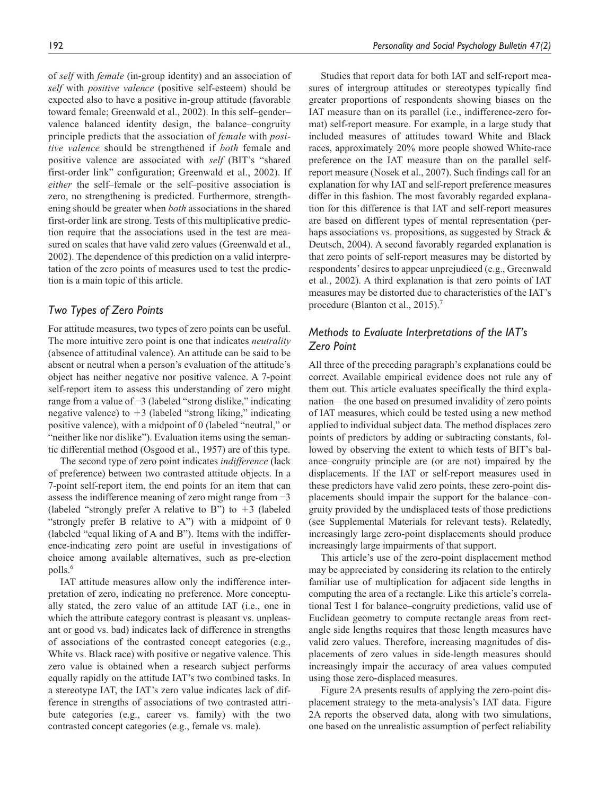of *self* with *female* (in-group identity) and an association of *self* with *positive valence* (positive self-esteem) should be expected also to have a positive in-group attitude (favorable toward female; Greenwald et al., 2002). In this self–gender– valence balanced identity design, the balance–congruity principle predicts that the association of *female* with *positive valence* should be strengthened if *both* female and positive valence are associated with *self* (BIT's "shared first-order link" configuration; Greenwald et al., 2002). If *either* the self–female or the self–positive association is zero, no strengthening is predicted. Furthermore, strengthening should be greater when *both* associations in the shared first-order link are strong. Tests of this multiplicative prediction require that the associations used in the test are measured on scales that have valid zero values (Greenwald et al., 2002). The dependence of this prediction on a valid interpretation of the zero points of measures used to test the prediction is a main topic of this article.

#### *Two Types of Zero Points*

For attitude measures, two types of zero points can be useful. The more intuitive zero point is one that indicates *neutrality* (absence of attitudinal valence). An attitude can be said to be absent or neutral when a person's evaluation of the attitude's object has neither negative nor positive valence. A 7-point self-report item to assess this understanding of zero might range from a value of −3 (labeled "strong dislike," indicating negative valence) to  $+3$  (labeled "strong liking," indicating positive valence), with a midpoint of 0 (labeled "neutral," or "neither like nor dislike"). Evaluation items using the semantic differential method (Osgood et al., 1957) are of this type.

The second type of zero point indicates *indifference* (lack of preference) between two contrasted attitude objects. In a 7-point self-report item, the end points for an item that can assess the indifference meaning of zero might range from −3 (labeled "strongly prefer A relative to B") to  $+3$  (labeled "strongly prefer B relative to A") with a midpoint of 0 (labeled "equal liking of A and B"). Items with the indifference-indicating zero point are useful in investigations of choice among available alternatives, such as pre-election polls.<sup>6</sup>

IAT attitude measures allow only the indifference interpretation of zero, indicating no preference. More conceptually stated, the zero value of an attitude IAT (i.e., one in which the attribute category contrast is pleasant vs. unpleasant or good vs. bad) indicates lack of difference in strengths of associations of the contrasted concept categories (e.g., White vs. Black race) with positive or negative valence. This zero value is obtained when a research subject performs equally rapidly on the attitude IAT's two combined tasks. In a stereotype IAT, the IAT's zero value indicates lack of difference in strengths of associations of two contrasted attribute categories (e.g., career vs. family) with the two contrasted concept categories (e.g., female vs. male).

Studies that report data for both IAT and self-report measures of intergroup attitudes or stereotypes typically find greater proportions of respondents showing biases on the IAT measure than on its parallel (i.e., indifference-zero format) self-report measure. For example, in a large study that included measures of attitudes toward White and Black races, approximately 20% more people showed White-race preference on the IAT measure than on the parallel selfreport measure (Nosek et al., 2007). Such findings call for an explanation for why IAT and self-report preference measures differ in this fashion. The most favorably regarded explanation for this difference is that IAT and self-report measures are based on different types of mental representation (perhaps associations vs. propositions, as suggested by Strack & Deutsch, 2004). A second favorably regarded explanation is that zero points of self-report measures may be distorted by respondents' desires to appear unprejudiced (e.g., Greenwald et al., 2002). A third explanation is that zero points of IAT measures may be distorted due to characteristics of the IAT's procedure (Blanton et al., 2015).<sup>7</sup>

### *Methods to Evaluate Interpretations of the IAT's Zero Point*

All three of the preceding paragraph's explanations could be correct. Available empirical evidence does not rule any of them out. This article evaluates specifically the third explanation—the one based on presumed invalidity of zero points of IAT measures, which could be tested using a new method applied to individual subject data. The method displaces zero points of predictors by adding or subtracting constants, followed by observing the extent to which tests of BIT's balance–congruity principle are (or are not) impaired by the displacements. If the IAT or self-report measures used in these predictors have valid zero points, these zero-point displacements should impair the support for the balance–congruity provided by the undisplaced tests of those predictions (see Supplemental Materials for relevant tests). Relatedly, increasingly large zero-point displacements should produce increasingly large impairments of that support.

This article's use of the zero-point displacement method may be appreciated by considering its relation to the entirely familiar use of multiplication for adjacent side lengths in computing the area of a rectangle. Like this article's correlational Test 1 for balance–congruity predictions, valid use of Euclidean geometry to compute rectangle areas from rectangle side lengths requires that those length measures have valid zero values. Therefore, increasing magnitudes of displacements of zero values in side-length measures should increasingly impair the accuracy of area values computed using those zero-displaced measures.

Figure 2A presents results of applying the zero-point displacement strategy to the meta-analysis's IAT data. Figure 2A reports the observed data, along with two simulations, one based on the unrealistic assumption of perfect reliability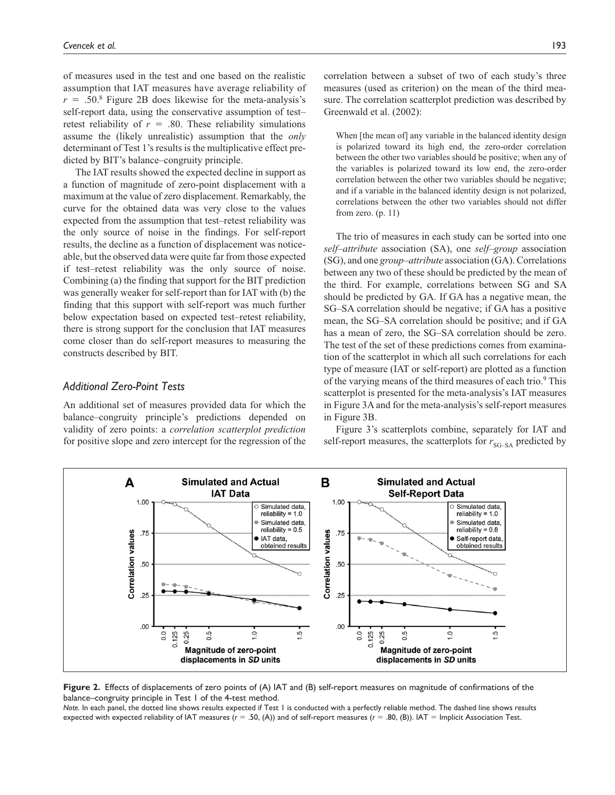of measures used in the test and one based on the realistic assumption that IAT measures have average reliability of  $r = .50$ .<sup>8</sup> Figure 2B does likewise for the meta-analysis's self-report data, using the conservative assumption of test– retest reliability of  $r = .80$ . These reliability simulations assume the (likely unrealistic) assumption that the *only* determinant of Test 1's results is the multiplicative effect predicted by BIT's balance–congruity principle.

The IAT results showed the expected decline in support as a function of magnitude of zero-point displacement with a maximum at the value of zero displacement. Remarkably, the curve for the obtained data was very close to the values expected from the assumption that test–retest reliability was the only source of noise in the findings. For self-report results, the decline as a function of displacement was noticeable, but the observed data were quite far from those expected if test–retest reliability was the only source of noise. Combining (a) the finding that support for the BIT prediction was generally weaker for self-report than for IAT with (b) the finding that this support with self-report was much further below expectation based on expected test–retest reliability, there is strong support for the conclusion that IAT measures come closer than do self-report measures to measuring the constructs described by BIT.

#### *Additional Zero-Point Tests*

An additional set of measures provided data for which the balance–congruity principle's predictions depended on validity of zero points: a *correlation scatterplot prediction* for positive slope and zero intercept for the regression of the

correlation between a subset of two of each study's three measures (used as criterion) on the mean of the third measure. The correlation scatterplot prediction was described by Greenwald et al. (2002):

When [the mean of] any variable in the balanced identity design is polarized toward its high end, the zero-order correlation between the other two variables should be positive; when any of the variables is polarized toward its low end, the zero-order correlation between the other two variables should be negative; and if a variable in the balanced identity design is not polarized, correlations between the other two variables should not differ from zero. (p. 11)

The trio of measures in each study can be sorted into one *self–attribute* association (SA), one *self–group* association (SG), and one *group–attribute* association (GA). Correlations between any two of these should be predicted by the mean of the third. For example, correlations between SG and SA should be predicted by GA. If GA has a negative mean, the SG–SA correlation should be negative; if GA has a positive mean, the SG–SA correlation should be positive; and if GA has a mean of zero, the SG–SA correlation should be zero. The test of the set of these predictions comes from examination of the scatterplot in which all such correlations for each type of measure (IAT or self-report) are plotted as a function of the varying means of the third measures of each trio.<sup>9</sup> This scatterplot is presented for the meta-analysis's IAT measures in Figure 3A and for the meta-analysis's self-report measures in Figure 3B.

Figure 3's scatterplots combine, separately for IAT and self-report measures, the scatterplots for  $r_{SG-SA}$  predicted by



**Figure 2.** Effects of displacements of zero points of (A) IAT and (B) self-report measures on magnitude of confirmations of the balance–congruity principle in Test 1 of the 4-test method.

*Note.* In each panel, the dotted line shows results expected if Test 1 is conducted with a perfectly reliable method. The dashed line shows results expected with expected reliability of IAT measures (*r* = .50, (A)) and of self-report measures (*r* = .80, (B)). IAT = Implicit Association Test.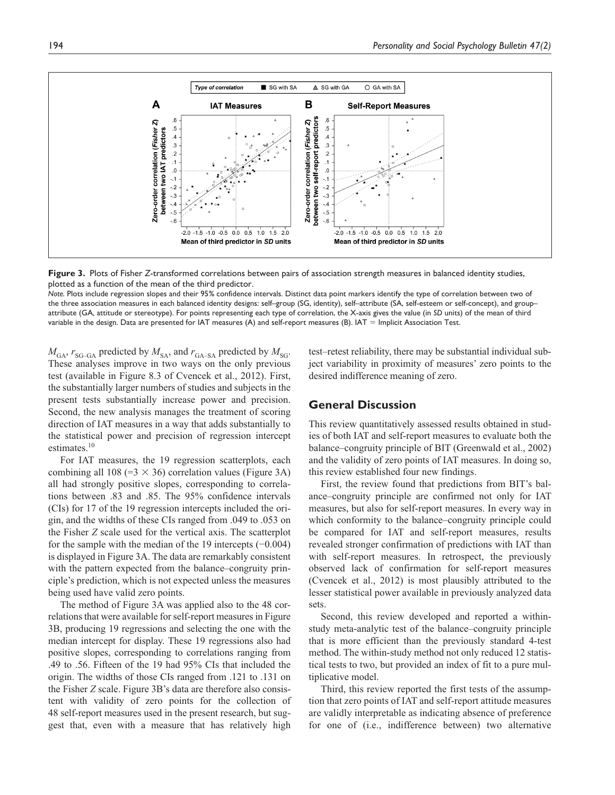

**Figure 3.** Plots of Fisher *Z*-transformed correlations between pairs of association strength measures in balanced identity studies, plotted as a function of the mean of the third predictor.

*Note.* Plots include regression slopes and their 95% confidence intervals. Distinct data point markers identify the type of correlation between two of the three association measures in each balanced identity designs: self–group (SG, identity), self–attribute (SA, self-esteem or self-concept), and group– attribute (GA, attitude or stereotype). For points representing each type of correlation, the X-axis gives the value (in *SD* units) of the mean of third variable in the design. Data are presented for IAT measures (A) and self-report measures (B). IAT = Implicit Association Test.

 $M_{\text{GA}}$ ,  $r_{\text{SG-GA}}$  predicted by  $M_{\text{SA}}$ , and  $r_{\text{GA-SA}}$  predicted by  $M_{\text{SG}}$ . These analyses improve in two ways on the only previous test (available in Figure 8.3 of Cvencek et al., 2012). First, the substantially larger numbers of studies and subjects in the present tests substantially increase power and precision. Second, the new analysis manages the treatment of scoring direction of IAT measures in a way that adds substantially to the statistical power and precision of regression intercept estimates.<sup>10</sup>

For IAT measures, the 19 regression scatterplots, each combining all 108 (= $3 \times 36$ ) correlation values (Figure 3A) all had strongly positive slopes, corresponding to correlations between .83 and .85. The 95% confidence intervals (CIs) for 17 of the 19 regression intercepts included the origin, and the widths of these CIs ranged from .049 to .053 on the Fisher *Z* scale used for the vertical axis. The scatterplot for the sample with the median of the 19 intercepts (−0.004) is displayed in Figure 3A. The data are remarkably consistent with the pattern expected from the balance–congruity principle's prediction, which is not expected unless the measures being used have valid zero points.

The method of Figure 3A was applied also to the 48 correlations that were available for self-report measures in Figure 3B, producing 19 regressions and selecting the one with the median intercept for display. These 19 regressions also had positive slopes, corresponding to correlations ranging from .49 to .56. Fifteen of the 19 had 95% CIs that included the origin. The widths of those CIs ranged from .121 to .131 on the Fisher *Z* scale. Figure 3B's data are therefore also consistent with validity of zero points for the collection of 48 self-report measures used in the present research, but suggest that, even with a measure that has relatively high

test–retest reliability, there may be substantial individual subject variability in proximity of measures' zero points to the desired indifference meaning of zero.

#### **General Discussion**

This review quantitatively assessed results obtained in studies of both IAT and self-report measures to evaluate both the balance–congruity principle of BIT (Greenwald et al., 2002) and the validity of zero points of IAT measures. In doing so, this review established four new findings.

First, the review found that predictions from BIT's balance–congruity principle are confirmed not only for IAT measures, but also for self-report measures. In every way in which conformity to the balance–congruity principle could be compared for IAT and self-report measures, results revealed stronger confirmation of predictions with IAT than with self-report measures. In retrospect, the previously observed lack of confirmation for self-report measures (Cvencek et al., 2012) is most plausibly attributed to the lesser statistical power available in previously analyzed data sets.

Second, this review developed and reported a withinstudy meta-analytic test of the balance–congruity principle that is more efficient than the previously standard 4-test method. The within-study method not only reduced 12 statistical tests to two, but provided an index of fit to a pure multiplicative model.

Third, this review reported the first tests of the assumption that zero points of IAT and self-report attitude measures are validly interpretable as indicating absence of preference for one of (i.e., indifference between) two alternative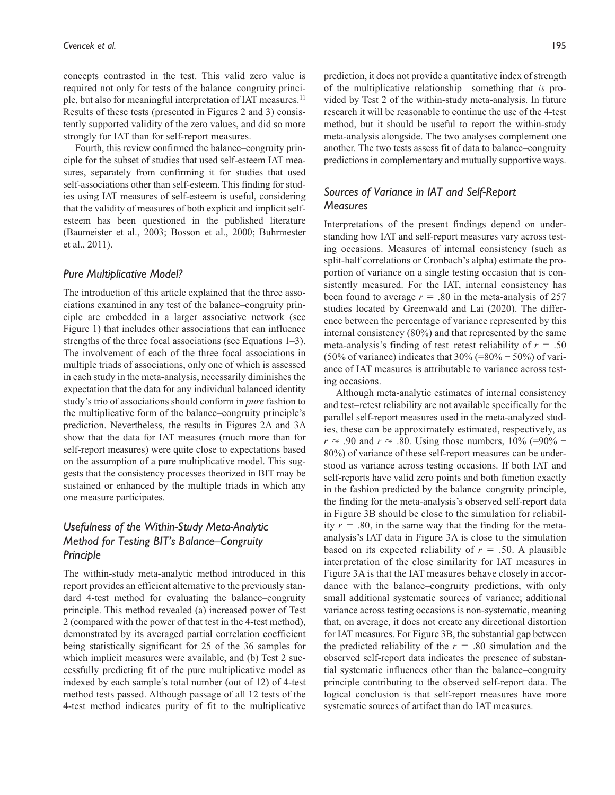concepts contrasted in the test. This valid zero value is required not only for tests of the balance–congruity principle, but also for meaningful interpretation of IAT measures.<sup>11</sup> Results of these tests (presented in Figures 2 and 3) consistently supported validity of the zero values, and did so more strongly for IAT than for self-report measures.

Fourth, this review confirmed the balance–congruity principle for the subset of studies that used self-esteem IAT measures, separately from confirming it for studies that used self-associations other than self-esteem. This finding for studies using IAT measures of self-esteem is useful, considering that the validity of measures of both explicit and implicit selfesteem has been questioned in the published literature (Baumeister et al., 2003; Bosson et al., 2000; Buhrmester et al., 2011).

#### *Pure Multiplicative Model?*

The introduction of this article explained that the three associations examined in any test of the balance–congruity principle are embedded in a larger associative network (see Figure 1) that includes other associations that can influence strengths of the three focal associations (see Equations 1–3). The involvement of each of the three focal associations in multiple triads of associations, only one of which is assessed in each study in the meta-analysis, necessarily diminishes the expectation that the data for any individual balanced identity study's trio of associations should conform in *pure* fashion to the multiplicative form of the balance–congruity principle's prediction. Nevertheless, the results in Figures 2A and 3A show that the data for IAT measures (much more than for self-report measures) were quite close to expectations based on the assumption of a pure multiplicative model. This suggests that the consistency processes theorized in BIT may be sustained or enhanced by the multiple triads in which any one measure participates.

## *Usefulness of the Within-Study Meta-Analytic Method for Testing BIT's Balance–Congruity Principle*

The within-study meta-analytic method introduced in this report provides an efficient alternative to the previously standard 4-test method for evaluating the balance–congruity principle. This method revealed (a) increased power of Test 2 (compared with the power of that test in the 4-test method), demonstrated by its averaged partial correlation coefficient being statistically significant for 25 of the 36 samples for which implicit measures were available, and (b) Test 2 successfully predicting fit of the pure multiplicative model as indexed by each sample's total number (out of 12) of 4-test method tests passed. Although passage of all 12 tests of the 4-test method indicates purity of fit to the multiplicative

prediction, it does not provide a quantitative index of strength of the multiplicative relationship—something that *is* provided by Test 2 of the within-study meta-analysis. In future research it will be reasonable to continue the use of the 4-test method, but it should be useful to report the within-study meta-analysis alongside. The two analyses complement one another. The two tests assess fit of data to balance–congruity predictions in complementary and mutually supportive ways.

## *Sources of Variance in IAT and Self-Report Measures*

Interpretations of the present findings depend on understanding how IAT and self-report measures vary across testing occasions. Measures of internal consistency (such as split-half correlations or Cronbach's alpha) estimate the proportion of variance on a single testing occasion that is consistently measured. For the IAT, internal consistency has been found to average  $r = .80$  in the meta-analysis of 257 studies located by Greenwald and Lai (2020). The difference between the percentage of variance represented by this internal consistency (80%) and that represented by the same meta-analysis's finding of test–retest reliability of *r* = .50 (50% of variance) indicates that  $30\%$  (=80% – 50%) of variance of IAT measures is attributable to variance across testing occasions.

Although meta-analytic estimates of internal consistency and test–retest reliability are not available specifically for the parallel self-report measures used in the meta-analyzed studies, these can be approximately estimated, respectively, as *r* ≈ .90 and *r* ≈ .80. Using those numbers,  $10\%$  (=90% – 80%) of variance of these self-report measures can be understood as variance across testing occasions. If both IAT and self-reports have valid zero points and both function exactly in the fashion predicted by the balance–congruity principle, the finding for the meta-analysis's observed self-report data in Figure 3B should be close to the simulation for reliability  $r = .80$ , in the same way that the finding for the metaanalysis's IAT data in Figure 3A is close to the simulation based on its expected reliability of *r* = .50. A plausible interpretation of the close similarity for IAT measures in Figure 3A is that the IAT measures behave closely in accordance with the balance–congruity predictions, with only small additional systematic sources of variance; additional variance across testing occasions is non-systematic, meaning that, on average, it does not create any directional distortion for IAT measures. For Figure 3B, the substantial gap between the predicted reliability of the  $r = .80$  simulation and the observed self-report data indicates the presence of substantial systematic influences other than the balance–congruity principle contributing to the observed self-report data. The logical conclusion is that self-report measures have more systematic sources of artifact than do IAT measures.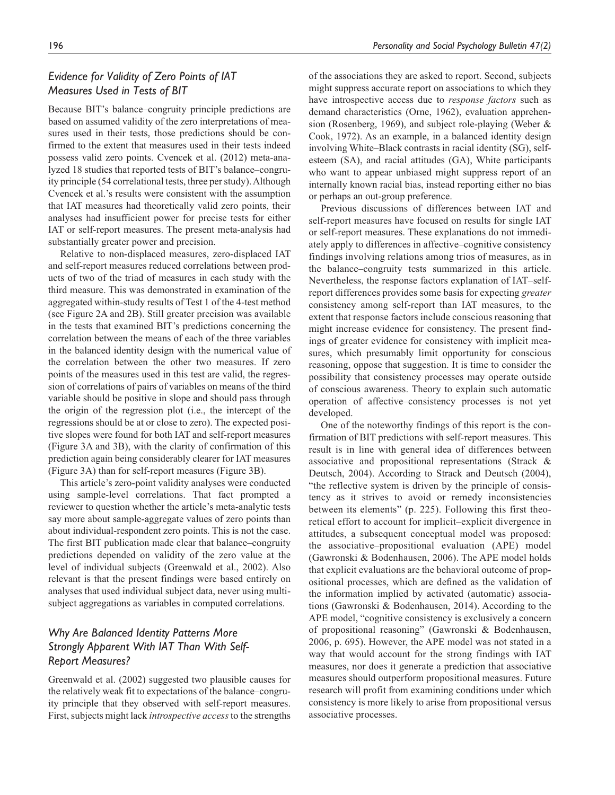## *Evidence for Validity of Zero Points of IAT Measures Used in Tests of BIT*

Because BIT's balance–congruity principle predictions are based on assumed validity of the zero interpretations of measures used in their tests, those predictions should be confirmed to the extent that measures used in their tests indeed possess valid zero points. Cvencek et al. (2012) meta-analyzed 18 studies that reported tests of BIT's balance–congruity principle (54 correlational tests, three per study). Although Cvencek et al.'s results were consistent with the assumption that IAT measures had theoretically valid zero points, their analyses had insufficient power for precise tests for either IAT or self-report measures. The present meta-analysis had substantially greater power and precision.

Relative to non-displaced measures, zero-displaced IAT and self-report measures reduced correlations between products of two of the triad of measures in each study with the third measure. This was demonstrated in examination of the aggregated within-study results of Test 1 of the 4-test method (see Figure 2A and 2B). Still greater precision was available in the tests that examined BIT's predictions concerning the correlation between the means of each of the three variables in the balanced identity design with the numerical value of the correlation between the other two measures. If zero points of the measures used in this test are valid, the regression of correlations of pairs of variables on means of the third variable should be positive in slope and should pass through the origin of the regression plot (i.e., the intercept of the regressions should be at or close to zero). The expected positive slopes were found for both IAT and self-report measures (Figure 3A and 3B), with the clarity of confirmation of this prediction again being considerably clearer for IAT measures (Figure 3A) than for self-report measures (Figure 3B).

This article's zero-point validity analyses were conducted using sample-level correlations. That fact prompted a reviewer to question whether the article's meta-analytic tests say more about sample-aggregate values of zero points than about individual-respondent zero points. This is not the case. The first BIT publication made clear that balance–congruity predictions depended on validity of the zero value at the level of individual subjects (Greenwald et al., 2002). Also relevant is that the present findings were based entirely on analyses that used individual subject data, never using multisubject aggregations as variables in computed correlations.

## *Why Are Balanced Identity Patterns More Strongly Apparent With IAT Than With Self-Report Measures?*

Greenwald et al. (2002) suggested two plausible causes for the relatively weak fit to expectations of the balance–congruity principle that they observed with self-report measures. First, subjects might lack *introspective access* to the strengths

of the associations they are asked to report. Second, subjects might suppress accurate report on associations to which they have introspective access due to *response factors* such as demand characteristics (Orne, 1962), evaluation apprehension (Rosenberg, 1969), and subject role-playing (Weber & Cook, 1972). As an example, in a balanced identity design involving White–Black contrasts in racial identity (SG), selfesteem (SA), and racial attitudes (GA), White participants who want to appear unbiased might suppress report of an internally known racial bias, instead reporting either no bias or perhaps an out-group preference.

Previous discussions of differences between IAT and self-report measures have focused on results for single IAT or self-report measures. These explanations do not immediately apply to differences in affective–cognitive consistency findings involving relations among trios of measures, as in the balance–congruity tests summarized in this article. Nevertheless, the response factors explanation of IAT–selfreport differences provides some basis for expecting *greater* consistency among self-report than IAT measures, to the extent that response factors include conscious reasoning that might increase evidence for consistency. The present findings of greater evidence for consistency with implicit measures, which presumably limit opportunity for conscious reasoning, oppose that suggestion. It is time to consider the possibility that consistency processes may operate outside of conscious awareness. Theory to explain such automatic operation of affective–consistency processes is not yet developed.

One of the noteworthy findings of this report is the confirmation of BIT predictions with self-report measures. This result is in line with general idea of differences between associative and propositional representations (Strack & Deutsch, 2004). According to Strack and Deutsch (2004), "the reflective system is driven by the principle of consistency as it strives to avoid or remedy inconsistencies between its elements" (p. 225). Following this first theoretical effort to account for implicit–explicit divergence in attitudes, a subsequent conceptual model was proposed: the associative–propositional evaluation (APE) model (Gawronski & Bodenhausen, 2006). The APE model holds that explicit evaluations are the behavioral outcome of propositional processes, which are defined as the validation of the information implied by activated (automatic) associations (Gawronski & Bodenhausen, 2014). According to the APE model, "cognitive consistency is exclusively a concern of propositional reasoning" (Gawronski & Bodenhausen, 2006, p. 695). However, the APE model was not stated in a way that would account for the strong findings with IAT measures, nor does it generate a prediction that associative measures should outperform propositional measures. Future research will profit from examining conditions under which consistency is more likely to arise from propositional versus associative processes.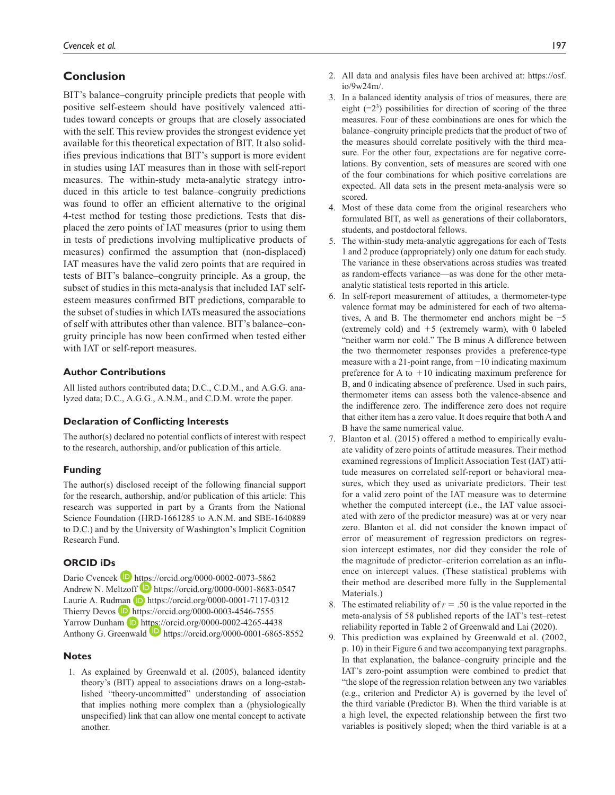## **Conclusion**

BIT's balance–congruity principle predicts that people with positive self-esteem should have positively valenced attitudes toward concepts or groups that are closely associated with the self. This review provides the strongest evidence yet available for this theoretical expectation of BIT. It also solidifies previous indications that BIT's support is more evident in studies using IAT measures than in those with self-report measures. The within-study meta-analytic strategy introduced in this article to test balance–congruity predictions was found to offer an efficient alternative to the original 4-test method for testing those predictions. Tests that displaced the zero points of IAT measures (prior to using them in tests of predictions involving multiplicative products of measures) confirmed the assumption that (non-displaced) IAT measures have the valid zero points that are required in tests of BIT's balance–congruity principle. As a group, the subset of studies in this meta-analysis that included IAT selfesteem measures confirmed BIT predictions, comparable to the subset of studies in which IATs measured the associations of self with attributes other than valence. BIT's balance–congruity principle has now been confirmed when tested either with IAT or self-report measures.

#### **Author Contributions**

All listed authors contributed data; D.C., C.D.M., and A.G.G. analyzed data; D.C., A.G.G., A.N.M., and C.D.M. wrote the paper.

#### **Declaration of Conflicting Interests**

The author(s) declared no potential conflicts of interest with respect to the research, authorship, and/or publication of this article.

#### **Funding**

The author(s) disclosed receipt of the following financial support for the research, authorship, and/or publication of this article: This research was supported in part by a Grants from the National Science Foundation (HRD-1661285 to A.N.M. and SBE-1640889 to D.C.) and by the University of Washington's Implicit Cognition Research Fund.

#### **ORCID iDs**

Dario Cvencek  $\blacksquare$  <https://orcid.org/0000-0002-0073-5862> Andrew N. Meltzoff **b** <https://orcid.org/0000-0001-8683-0547> Laurie A. Rudman (D <https://orcid.org/0000-0001-7117-0312> Thierry Devos  $\Box$  <https://orcid.org/0000-0003-4546-7555> Yarrow Dunham (D <https://orcid.org/0000-0002-4265-4438> Anthony G. Greenwald **D** <https://orcid.org/0000-0001-6865-8552>

#### **Notes**

1. As explained by Greenwald et al. (2005), balanced identity theory's (BIT) appeal to associations draws on a long-established "theory-uncommitted" understanding of association that implies nothing more complex than a (physiologically unspecified) link that can allow one mental concept to activate another.

- 2. All data and analysis files have been archived at: [https://osf.](https://osf.io/9w24m/) [io/9w24m/.](https://osf.io/9w24m/)
- 3. In a balanced identity analysis of trios of measures, there are eight  $(=2^3)$  possibilities for direction of scoring of the three measures. Four of these combinations are ones for which the balance–congruity principle predicts that the product of two of the measures should correlate positively with the third measure. For the other four, expectations are for negative correlations. By convention, sets of measures are scored with one of the four combinations for which positive correlations are expected. All data sets in the present meta-analysis were so scored.
- 4. Most of these data come from the original researchers who formulated BIT, as well as generations of their collaborators, students, and postdoctoral fellows.
- 5. The within-study meta-analytic aggregations for each of Tests 1 and 2 produce (appropriately) only one datum for each study. The variance in these observations across studies was treated as random-effects variance—as was done for the other metaanalytic statistical tests reported in this article.
- 6. In self-report measurement of attitudes, a thermometer-type valence format may be administered for each of two alternatives, A and B. The thermometer end anchors might be −5 (extremely cold) and  $+5$  (extremely warm), with 0 labeled "neither warm nor cold." The B minus A difference between the two thermometer responses provides a preference-type measure with a 21-point range, from −10 indicating maximum preference for A to  $+10$  indicating maximum preference for B, and 0 indicating absence of preference. Used in such pairs, thermometer items can assess both the valence-absence and the indifference zero. The indifference zero does not require that either item has a zero value. It does require that both A and B have the same numerical value.
- 7. Blanton et al. (2015) offered a method to empirically evaluate validity of zero points of attitude measures. Their method examined regressions of Implicit Association Test (IAT) attitude measures on correlated self-report or behavioral measures, which they used as univariate predictors. Their test for a valid zero point of the IAT measure was to determine whether the computed intercept (i.e., the IAT value associated with zero of the predictor measure) was at or very near zero. Blanton et al. did not consider the known impact of error of measurement of regression predictors on regression intercept estimates, nor did they consider the role of the magnitude of predictor–criterion correlation as an influence on intercept values. (These statistical problems with their method are described more fully in the Supplemental Materials.)
- 8. The estimated reliability of  $r = .50$  is the value reported in the meta-analysis of 58 published reports of the IAT's test–retest reliability reported in Table 2 of Greenwald and Lai (2020).
- 9. This prediction was explained by Greenwald et al. (2002, p. 10) in their Figure 6 and two accompanying text paragraphs. In that explanation, the balance–congruity principle and the IAT's zero-point assumption were combined to predict that "the slope of the regression relation between any two variables (e.g., criterion and Predictor A) is governed by the level of the third variable (Predictor B). When the third variable is at a high level, the expected relationship between the first two variables is positively sloped; when the third variable is at a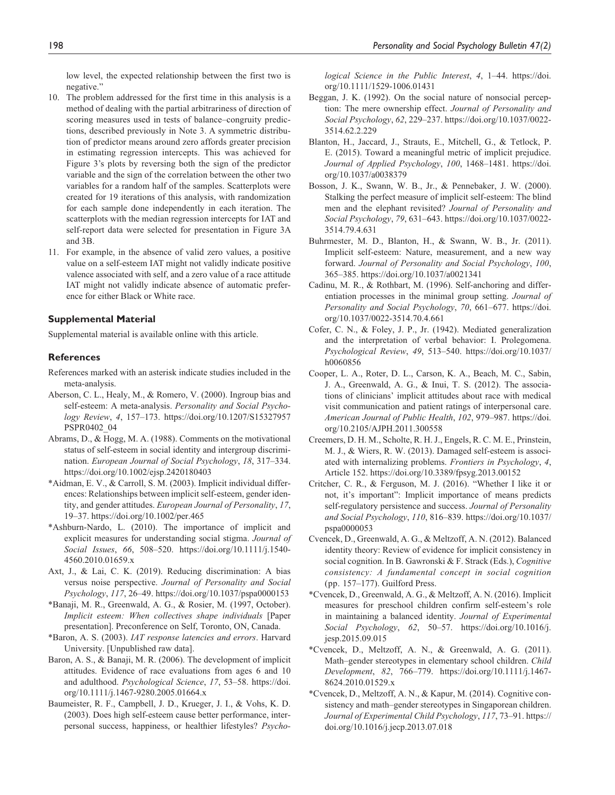low level, the expected relationship between the first two is negative."

- 10. The problem addressed for the first time in this analysis is a method of dealing with the partial arbitrariness of direction of scoring measures used in tests of balance–congruity predictions, described previously in Note 3. A symmetric distribution of predictor means around zero affords greater precision in estimating regression intercepts. This was achieved for Figure 3's plots by reversing both the sign of the predictor variable and the sign of the correlation between the other two variables for a random half of the samples. Scatterplots were created for 19 iterations of this analysis, with randomization for each sample done independently in each iteration. The scatterplots with the median regression intercepts for IAT and self-report data were selected for presentation in Figure 3A and 3B.
- 11. For example, in the absence of valid zero values, a positive value on a self-esteem IAT might not validly indicate positive valence associated with self, and a zero value of a race attitude IAT might not validly indicate absence of automatic preference for either Black or White race.

#### **Supplemental Material**

Supplemental material is available online with this article.

#### **References**

- References marked with an asterisk indicate studies included in the meta-analysis.
- Aberson, C. L., Healy, M., & Romero, V. (2000). Ingroup bias and self-esteem: A meta-analysis. *Personality and Social Psychology Review*, *4*, 157–173. [https://doi.org/10.1207/S15327957](https://doi.org/10.1207/S15327957PSPR0402_04) [PSPR0402\\_04](https://doi.org/10.1207/S15327957PSPR0402_04)
- Abrams, D., & Hogg, M. A. (1988). Comments on the motivational status of self-esteem in social identity and intergroup discrimination. *European Journal of Social Psychology*, *18*, 317–334. <https://doi.org/10.1002/ejsp.2420180403>
- \*Aidman, E. V., & Carroll, S. M. (2003). Implicit individual differences: Relationships between implicit self-esteem, gender identity, and gender attitudes. *European Journal of Personality*, *17*, 19–37.<https://doi.org/10.1002/per.465>
- \*Ashburn-Nardo, L. (2010). The importance of implicit and explicit measures for understanding social stigma. *Journal of Social Issues*, *66*, 508–520. [https://doi.org/10.1111/j.1540-](https://doi.org/10.1111/j.1540-4560.2010.01659.x) [4560.2010.01659.x](https://doi.org/10.1111/j.1540-4560.2010.01659.x)
- Axt, J., & Lai, C. K. (2019). Reducing discrimination: A bias versus noise perspective. *Journal of Personality and Social Psychology*, *117*, 26–49. <https://doi.org/10.1037/pspa0000153>
- \*Banaji, M. R., Greenwald, A. G., & Rosier, M. (1997, October). *Implicit esteem: When collectives shape individuals* [Paper presentation]. Preconference on Self, Toronto, ON, Canada.
- \*Baron, A. S. (2003). *IAT response latencies and errors*. Harvard University. [Unpublished raw data].
- Baron, A. S., & Banaji, M. R. (2006). The development of implicit attitudes. Evidence of race evaluations from ages 6 and 10 and adulthood. *Psychological Science*, *17*, 53–58. [https://doi.](https://doi.org/10.1111/j.1467-9280.2005.01664.x) [org/10.1111/j.1467-9280.2005.01664.x](https://doi.org/10.1111/j.1467-9280.2005.01664.x)
- Baumeister, R. F., Campbell, J. D., Krueger, J. I., & Vohs, K. D. (2003). Does high self-esteem cause better performance, interpersonal success, happiness, or healthier lifestyles? *Psycho-*

*logical Science in the Public Interest*, *4*, 1–44. [https://doi.](https://doi.org/10.1111/1529-1006.01431) [org/10.1111/1529-1006.01431](https://doi.org/10.1111/1529-1006.01431)

- Beggan, J. K. (1992). On the social nature of nonsocial perception: The mere ownership effect. *Journal of Personality and Social Psychology*, *62*, 229–237. [https://doi.org/10.1037/0022-](https://doi.org/10.1037/0022-3514.62.2.229) [3514.62.2.229](https://doi.org/10.1037/0022-3514.62.2.229)
- Blanton, H., Jaccard, J., Strauts, E., Mitchell, G., & Tetlock, P. E. (2015). Toward a meaningful metric of implicit prejudice. *Journal of Applied Psychology*, *100*, 1468–1481. [https://doi.](https://doi.org/10.1037/a0038379) [org/10.1037/a0038379](https://doi.org/10.1037/a0038379)
- Bosson, J. K., Swann, W. B., Jr., & Pennebaker, J. W. (2000). Stalking the perfect measure of implicit self-esteem: The blind men and the elephant revisited? *Journal of Personality and Social Psychology*, *79*, 631–643. [https://doi.org/10.1037/0022-](https://doi.org/10.1037/0022-3514.79.4.631) [3514.79.4.631](https://doi.org/10.1037/0022-3514.79.4.631)
- Buhrmester, M. D., Blanton, H., & Swann, W. B., Jr. (2011). Implicit self-esteem: Nature, measurement, and a new way forward. *Journal of Personality and Social Psychology*, *100*, 365–385. <https://doi.org/10.1037/a0021341>
- Cadinu, M. R., & Rothbart, M. (1996). Self-anchoring and differentiation processes in the minimal group setting. *Journal of Personality and Social Psychology*, *70*, 661–677. [https://doi.](https://doi.org/10.1037/0022-3514.70.4.661) [org/10.1037/0022-3514.70.4.661](https://doi.org/10.1037/0022-3514.70.4.661)
- Cofer, C. N., & Foley, J. P., Jr. (1942). Mediated generalization and the interpretation of verbal behavior: I. Prolegomena. *Psychological Review*, *49*, 513–540. [https://doi.org/10.1037/](https://doi.org/10.1037/h0060856) [h0060856](https://doi.org/10.1037/h0060856)
- Cooper, L. A., Roter, D. L., Carson, K. A., Beach, M. C., Sabin, J. A., Greenwald, A. G., & Inui, T. S. (2012). The associations of clinicians' implicit attitudes about race with medical visit communication and patient ratings of interpersonal care. *American Journal of Public Health*, *102*, 979–987. [https://doi.](https://doi.org/10.2105/AJPH.2011.300558) [org/10.2105/AJPH.2011.300558](https://doi.org/10.2105/AJPH.2011.300558)
- Creemers, D. H. M., Scholte, R. H. J., Engels, R. C. M. E., Prinstein, M. J., & Wiers, R. W. (2013). Damaged self-esteem is associated with internalizing problems. *Frontiers in Psychology*, *4*, Article 152. <https://doi.org/10.3389/fpsyg.2013.00152>
- Critcher, C. R., & Ferguson, M. J. (2016). "Whether I like it or not, it's important": Implicit importance of means predicts self-regulatory persistence and success. *Journal of Personality and Social Psychology*, *110*, 816–839. [https://doi.org/10.1037/](https://doi.org/10.1037/pspa0000053) [pspa0000053](https://doi.org/10.1037/pspa0000053)
- Cvencek, D., Greenwald, A. G., & Meltzoff, A. N. (2012). Balanced identity theory: Review of evidence for implicit consistency in social cognition. In B. Gawronski & F. Strack (Eds.), *Cognitive consistency: A fundamental concept in social cognition* (pp. 157–177). Guilford Press.
- \*Cvencek, D., Greenwald, A. G., & Meltzoff, A. N. (2016). Implicit measures for preschool children confirm self-esteem's role in maintaining a balanced identity. *Journal of Experimental Social Psychology*, *62*, 50–57. [https://doi.org/10.1016/j.](https://doi.org/10.1016/j.jesp.2015.09.015) [jesp.2015.09.015](https://doi.org/10.1016/j.jesp.2015.09.015)
- \*Cvencek, D., Meltzoff, A. N., & Greenwald, A. G. (2011). Math–gender stereotypes in elementary school children. *Child Development*, *82*, 766–779. [https://doi.org/10.1111/j.1467-](https://doi.org/10.1111/j.1467-8624.2010.01529.x) [8624.2010.01529.x](https://doi.org/10.1111/j.1467-8624.2010.01529.x)
- \*Cvencek, D., Meltzoff, A. N., & Kapur, M. (2014). Cognitive consistency and math–gender stereotypes in Singaporean children. *Journal of Experimental Child Psychology*, *117*, 73–91. [https://](https://doi.org/10.1016/j.jecp.2013.07.018) [doi.org/10.1016/j.jecp.2013.07.018](https://doi.org/10.1016/j.jecp.2013.07.018)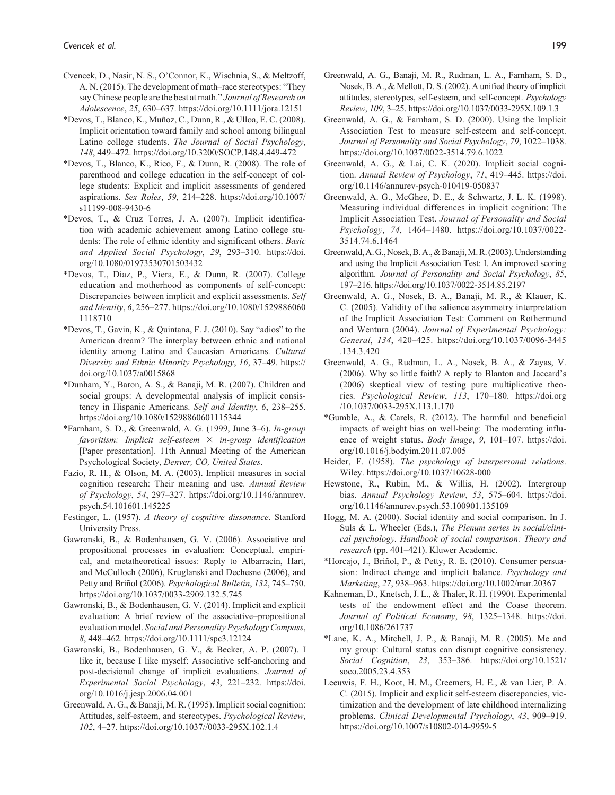- Cvencek, D., Nasir, N. S., O'Connor, K., Wischnia, S., & Meltzoff, A. N. (2015). The development of math–race stereotypes: "They say Chinese people are the best at math." *Journal of Research on Adolescence*, *25*, 630–637. <https://doi.org/10.1111/jora.12151>
- \*Devos, T., Blanco, K., Muñoz, C., Dunn, R., & Ulloa, E. C. (2008). Implicit orientation toward family and school among bilingual Latino college students. *The Journal of Social Psychology*, *148*, 449–472.<https://doi.org/10.3200/SOCP.148.4.449-472>
- \*Devos, T., Blanco, K., Rico, F., & Dunn, R. (2008). The role of parenthood and college education in the self-concept of college students: Explicit and implicit assessments of gendered aspirations. *Sex Roles*, *59*, 214–228. [https://doi.org/10.1007/](https://doi.org/10.1007/s11199-008-9430-6) [s11199-008-9430-6](https://doi.org/10.1007/s11199-008-9430-6)
- \*Devos, T., & Cruz Torres, J. A. (2007). Implicit identification with academic achievement among Latino college students: The role of ethnic identity and significant others. *Basic and Applied Social Psychology*, *29*, 293–310. [https://doi.](https://doi.org/10.1080/01973530701503432) [org/10.1080/01973530701503432](https://doi.org/10.1080/01973530701503432)
- \*Devos, T., Diaz, P., Viera, E., & Dunn, R. (2007). College education and motherhood as components of self-concept: Discrepancies between implicit and explicit assessments. *Self and Identity*, *6*, 256–277. [https://doi.org/10.1080/1529886060](https://doi.org/10.1080/15298860601118710) [1118710](https://doi.org/10.1080/15298860601118710)
- \*Devos, T., Gavin, K., & Quintana, F. J. (2010). Say "adios" to the American dream? The interplay between ethnic and national identity among Latino and Caucasian Americans. *Cultural Diversity and Ethnic Minority Psychology*, *16*, 37–49. [https://](https://doi.org/10.1037/a0015868) [doi.org/10.1037/a0015868](https://doi.org/10.1037/a0015868)
- \*Dunham, Y., Baron, A. S., & Banaji, M. R. (2007). Children and social groups: A developmental analysis of implicit consistency in Hispanic Americans. *Self and Identity*, *6*, 238–255. <https://doi.org/10.1080/15298860601115344>
- \*Farnham, S. D., & Greenwald, A. G. (1999, June 3–6). *In-group favoritism: Implicit self-esteem* × *in-group identification* [Paper presentation]. 11th Annual Meeting of the American Psychological Society, *Denver, CO, United States*.
- Fazio, R. H., & Olson, M. A. (2003). Implicit measures in social cognition research: Their meaning and use. *Annual Review of Psychology*, *54*, 297–327. [https://doi.org/10.1146/annurev.](https://doi.org/10.1146/annurev.psych.54.101601.145225) [psych.54.101601.145225](https://doi.org/10.1146/annurev.psych.54.101601.145225)
- Festinger, L. (1957). *A theory of cognitive dissonance*. Stanford University Press.
- Gawronski, B., & Bodenhausen, G. V. (2006). Associative and propositional processes in evaluation: Conceptual, empirical, and metatheoretical issues: Reply to Albarracín, Hart, and McCulloch (2006), Kruglanski and Dechesne (2006), and Petty and Briñol (2006). *Psychological Bulletin*, *132*, 745–750. <https://doi.org/10.1037/0033-2909.132.5.745>
- Gawronski, B., & Bodenhausen, G. V. (2014). Implicit and explicit evaluation: A brief review of the associative–propositional evaluation model. *Social and Personality Psychology Compass*, *8*, 448–462. <https://doi.org/10.1111/spc3.12124>
- Gawronski, B., Bodenhausen, G. V., & Becker, A. P. (2007). I like it, because I like myself: Associative self-anchoring and post-decisional change of implicit evaluations. *Journal of Experimental Social Psychology*, *43*, 221–232. [https://doi.](https://doi.org/10.1016/j.jesp.2006.04.001) [org/10.1016/j.jesp.2006.04.001](https://doi.org/10.1016/j.jesp.2006.04.001)
- Greenwald, A. G., & Banaji, M. R. (1995). Implicit social cognition: Attitudes, self-esteem, and stereotypes. *Psychological Review*, *102*, 4–27. <https://doi.org/10.1037//0033-295X.102.1.4>
- Greenwald, A. G., Banaji, M. R., Rudman, L. A., Farnham, S. D., Nosek, B. A., & Mellott, D. S. (2002). A unified theory of implicit attitudes, stereotypes, self-esteem, and self-concept. *Psychology Review*, *109*, 3–25.<https://doi.org/10.1037/0033-295X.109.1.3>
- Greenwald, A. G., & Farnham, S. D. (2000). Using the Implicit Association Test to measure self-esteem and self-concept. *Journal of Personality and Social Psychology*, *79*, 1022–1038. <https://doi.org/10.1037/0022-3514.79.6.1022>
- Greenwald, A. G., & Lai, C. K. (2020). Implicit social cognition. *Annual Review of Psychology*, *71*, 419–445. [https://doi.](https://doi.org/10.1146/annurev-psych-010419-050837) [org/10.1146/annurev-psych-010419-050837](https://doi.org/10.1146/annurev-psych-010419-050837)
- Greenwald, A. G., McGhee, D. E., & Schwartz, J. L. K. (1998). Measuring individual differences in implicit cognition: The Implicit Association Test. *Journal of Personality and Social Psychology*, *74*, 1464–1480. [https://doi.org/10.1037/0022-](https://doi.org/10.1037/0022-3514.74.6.1464) [3514.74.6.1464](https://doi.org/10.1037/0022-3514.74.6.1464)
- Greenwald, A. G., Nosek, B. A., & Banaji, M. R. (2003). Understanding and using the Implicit Association Test: I. An improved scoring algorithm. *Journal of Personality and Social Psychology*, *85*, 197–216.<https://doi.org/10.1037/0022-3514.85.2197>
- Greenwald, A. G., Nosek, B. A., Banaji, M. R., & Klauer, K. C. (2005). Validity of the salience asymmetry interpretation of the Implicit Association Test: Comment on Rothermund and Wentura (2004). *Journal of Experimental Psychology: General*, *134*, 420–425. <https://doi.org/10.1037/0096-3445> .134.3.420
- Greenwald, A. G., Rudman, L. A., Nosek, B. A., & Zayas, V. (2006). Why so little faith? A reply to Blanton and Jaccard's (2006) skeptical view of testing pure multiplicative theories. *Psychological Review*, *113*, 170–180. <https://doi.org> /10.1037/0033-295X.113.1.170
- \*Gumble, A., & Carels, R. (2012). The harmful and beneficial impacts of weight bias on well-being: The moderating influence of weight status. *Body Image*, *9*, 101–107. [https://doi.](https://doi.org/10.1016/j.bodyim.2011.07.005) [org/10.1016/j.bodyim.2011.07.005](https://doi.org/10.1016/j.bodyim.2011.07.005)
- Heider, F. (1958). *The psychology of interpersonal relations*. Wiley. <https://doi.org/10.1037/10628-000>
- Hewstone, R., Rubin, M., & Willis, H. (2002). Intergroup bias. *Annual Psychology Review*, *53*, 575–604. [https://doi.](https://doi.org/10.1146/annurev.psych.53.100901.135109) [org/10.1146/annurev.psych.53.100901.135109](https://doi.org/10.1146/annurev.psych.53.100901.135109)
- Hogg, M. A. (2000). Social identity and social comparison. In J. Suls & L. Wheeler (Eds.), *The Plenum series in social/clinical psychology. Handbook of social comparison: Theory and research* (pp. 401–421). Kluwer Academic.
- \*Horcajo, J., Briñol, P., & Petty, R. E. (2010). Consumer persuasion: Indirect change and implicit balance. *Psychology and Marketing*, *27*, 938–963. <https://doi.org/10.1002/mar.20367>
- Kahneman, D., Knetsch, J. L., & Thaler, R. H. (1990). Experimental tests of the endowment effect and the Coase theorem. *Journal of Political Economy*, *98*, 1325–1348. [https://doi.](https://doi.org/10.1086/261737) [org/10.1086/261737](https://doi.org/10.1086/261737)
- \*Lane, K. A., Mitchell, J. P., & Banaji, M. R. (2005). Me and my group: Cultural status can disrupt cognitive consistency. *Social Cognition*, *23*, 353–386. [https://doi.org/10.1521/](https://doi.org/10.1521/soco.2005.23.4.353) [soco.2005.23.4.353](https://doi.org/10.1521/soco.2005.23.4.353)
- Leeuwis, F. H., Koot, H. M., Creemers, H. E., & van Lier, P. A. C. (2015). Implicit and explicit self-esteem discrepancies, victimization and the development of late childhood internalizing problems. *Clinical Developmental Psychology*, *43*, 909–919. <https://doi.org/10.1007/s10802-014-9959-5>